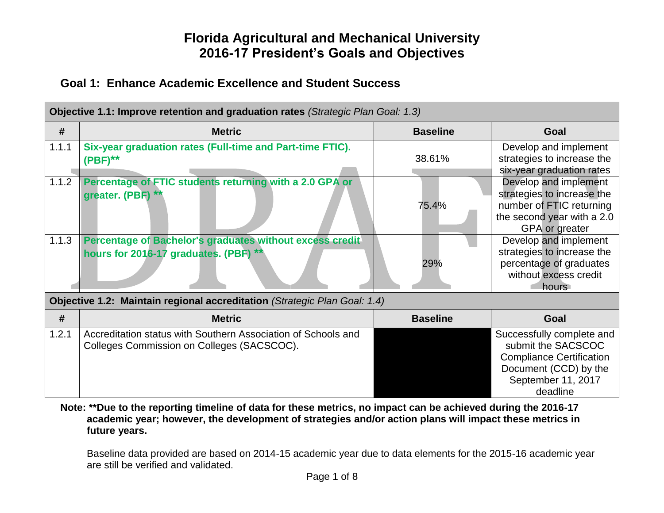#### **Goal 1: Enhance Academic Excellence and Student Success**

| Objective 1.1: Improve retention and graduation rates (Strategic Plan Goal: 1.3) |                                                                                                             |                 |                                                                                                                                               |  |
|----------------------------------------------------------------------------------|-------------------------------------------------------------------------------------------------------------|-----------------|-----------------------------------------------------------------------------------------------------------------------------------------------|--|
| #                                                                                | <b>Metric</b>                                                                                               | <b>Baseline</b> | Goal                                                                                                                                          |  |
| 1.1.1                                                                            | Six-year graduation rates (Full-time and Part-time FTIC).<br>$(PBF)$ **                                     | 38.61%          | Develop and implement<br>strategies to increase the<br>six-year graduation rates                                                              |  |
| 1.1.2                                                                            | Percentage of FTIC students returning with a 2.0 GPA or<br>greater. (PBF)                                   | 75.4%           | Develop and implement<br>strategies to increase the<br>number of FTIC returning<br>the second year with a 2.0<br><b>GPA</b> or greater        |  |
| 1.1.3                                                                            | Percentage of Bachelor's graduates without excess credit<br>hours for 2016-17 graduates. (PBF) **           | 29%             | Develop and implement<br>strategies to increase the<br>percentage of graduates<br>without excess credit<br>hours                              |  |
|                                                                                  | Objective 1.2: Maintain regional accreditation (Strategic Plan Goal: 1.4)                                   |                 |                                                                                                                                               |  |
| #                                                                                | <b>Metric</b>                                                                                               | <b>Baseline</b> | Goal                                                                                                                                          |  |
| 1.2.1                                                                            | Accreditation status with Southern Association of Schools and<br>Colleges Commission on Colleges (SACSCOC). |                 | Successfully complete and<br>submit the SACSCOC<br><b>Compliance Certification</b><br>Document (CCD) by the<br>September 11, 2017<br>deadline |  |

**Note: \*\*Due to the reporting timeline of data for these metrics, no impact can be achieved during the 2016-17 academic year; however, the development of strategies and/or action plans will impact these metrics in future years.**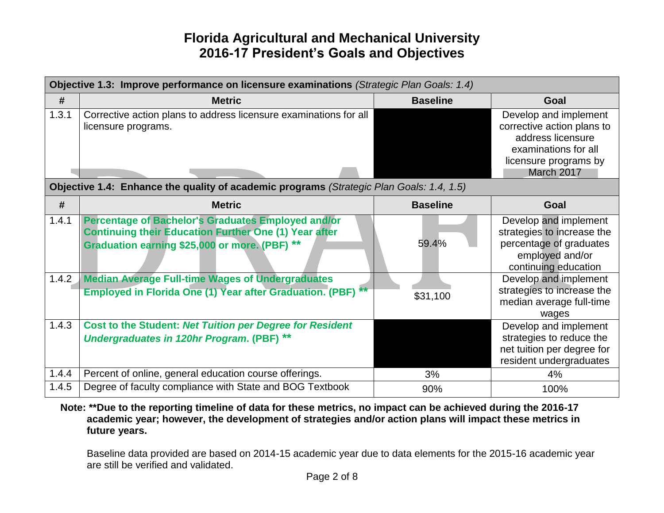|       | Objective 1.3: Improve performance on licensure examinations (Strategic Plan Goals: 1.4)                                                                            |                 |                                                                                                                                         |  |
|-------|---------------------------------------------------------------------------------------------------------------------------------------------------------------------|-----------------|-----------------------------------------------------------------------------------------------------------------------------------------|--|
| #     | <b>Metric</b>                                                                                                                                                       | <b>Baseline</b> | Goal                                                                                                                                    |  |
| 1.3.1 | Corrective action plans to address licensure examinations for all<br>licensure programs.                                                                            |                 | Develop and implement<br>corrective action plans to<br>address licensure<br>examinations for all<br>licensure programs by<br>March 2017 |  |
|       | Objective 1.4: Enhance the quality of academic programs (Strategic Plan Goals: 1.4, 1.5)                                                                            |                 |                                                                                                                                         |  |
| #     | <b>Metric</b>                                                                                                                                                       | <b>Baseline</b> | Goal                                                                                                                                    |  |
| 1.4.1 | Percentage of Bachelor's Graduates Employed and/or<br><b>Continuing their Education Further One (1) Year after</b><br>Graduation earning \$25,000 or more. (PBF) ** | 59.4%           | Develop and implement<br>strategies to increase the<br>percentage of graduates<br>employed and/or<br>continuing education               |  |
| 1.4.2 | <b>Median Average Full-time Wages of Undergraduates</b><br><b>Employed in Florida One (1) Year after Graduation. (PBF) **</b>                                       | \$31,100        | Develop and implement<br>strategies to increase the<br>median average full-time<br>wages                                                |  |
| 1.4.3 | <b>Cost to the Student: Net Tuition per Degree for Resident</b><br><b>Undergraduates in 120hr Program. (PBF) **</b>                                                 |                 | Develop and implement<br>strategies to reduce the<br>net tuition per degree for<br>resident undergraduates                              |  |
| 1.4.4 | Percent of online, general education course offerings.                                                                                                              | 3%              | 4%                                                                                                                                      |  |
| 1.4.5 | Degree of faculty compliance with State and BOG Textbook                                                                                                            | 90%             | 100%                                                                                                                                    |  |

**Note: \*\*Due to the reporting timeline of data for these metrics, no impact can be achieved during the 2016-17 academic year; however, the development of strategies and/or action plans will impact these metrics in future years.**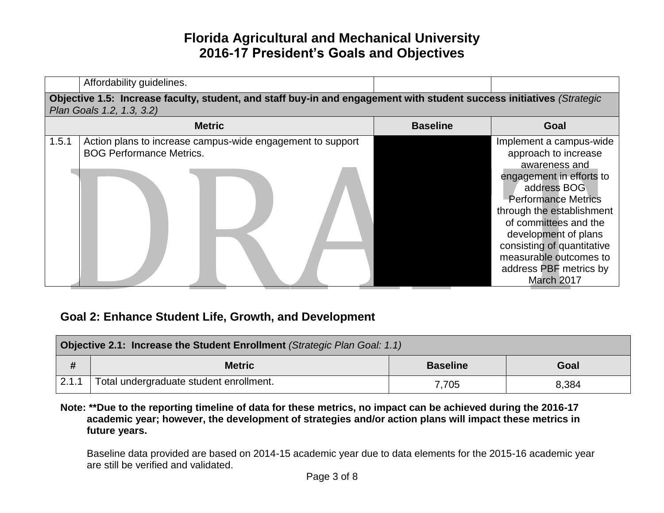|       | Affordability guidelines.                                                                                                                          |                 |                                                                                                                                                                                                                                                                                                                         |
|-------|----------------------------------------------------------------------------------------------------------------------------------------------------|-----------------|-------------------------------------------------------------------------------------------------------------------------------------------------------------------------------------------------------------------------------------------------------------------------------------------------------------------------|
|       | Objective 1.5: Increase faculty, student, and staff buy-in and engagement with student success initiatives (Strategic<br>Plan Goals 1.2, 1.3, 3.2) |                 |                                                                                                                                                                                                                                                                                                                         |
|       | <b>Metric</b>                                                                                                                                      | <b>Baseline</b> | Goal                                                                                                                                                                                                                                                                                                                    |
| 1.5.1 | Action plans to increase campus-wide engagement to support<br><b>BOG Performance Metrics.</b>                                                      |                 | Implement a campus-wide<br>approach to increase<br>awareness and<br>engagement in efforts to<br>address BOG<br><b>Performance Metrics</b><br>through the establishment<br>of committees and the<br>development of plans<br>consisting of quantitative<br>measurable outcomes to<br>address PBF metrics by<br>March 2017 |

#### **Goal 2: Enhance Student Life, Growth, and Development**

| Objective 2.1: Increase the Student Enrollment (Strategic Plan Goal: 1.1) |                                         |                 |       |
|---------------------------------------------------------------------------|-----------------------------------------|-----------------|-------|
|                                                                           | <b>Metric</b>                           | <b>Baseline</b> | Goal  |
| 12.1.1                                                                    | Total undergraduate student enrollment. | 7,705           | 8,384 |

#### **Note: \*\*Due to the reporting timeline of data for these metrics, no impact can be achieved during the 2016-17 academic year; however, the development of strategies and/or action plans will impact these metrics in future years.**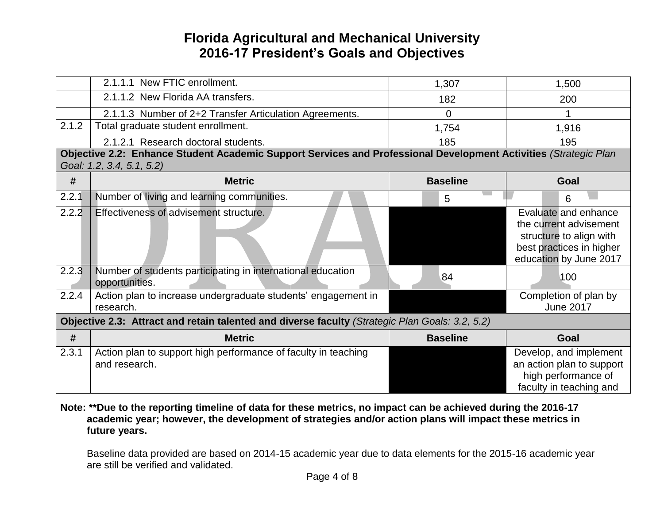|       | 2.1.1.1 New FTIC enrollment.                                                                                                                  | 1,307           | 1,500                                                                                                                           |
|-------|-----------------------------------------------------------------------------------------------------------------------------------------------|-----------------|---------------------------------------------------------------------------------------------------------------------------------|
|       | 2.1.1.2 New Florida AA transfers.                                                                                                             | 182             | 200                                                                                                                             |
|       | 2.1.1.3 Number of 2+2 Transfer Articulation Agreements.                                                                                       | 0               |                                                                                                                                 |
| 2.1.2 | Total graduate student enrollment.                                                                                                            | 1,754           | 1,916                                                                                                                           |
|       | 2.1.2.1 Research doctoral students.                                                                                                           | 185             | 195                                                                                                                             |
|       | Objective 2.2: Enhance Student Academic Support Services and Professional Development Activities (Strategic Plan<br>Goal: 1.2, 3.4, 5.1, 5.2) |                 |                                                                                                                                 |
| #     | <b>Metric</b>                                                                                                                                 | <b>Baseline</b> | Goal                                                                                                                            |
| 2.2.1 | Number of living and learning communities.                                                                                                    | 5               | 6                                                                                                                               |
| 2.2.2 | Effectiveness of advisement structure.                                                                                                        |                 | Evaluate and enhance<br>the current advisement<br>structure to align with<br>best practices in higher<br>education by June 2017 |
| 2.2.3 | Number of students participating in international education<br>opportunities.                                                                 | 84              | 100                                                                                                                             |
| 2.2.4 | Action plan to increase undergraduate students' engagement in<br>research.                                                                    |                 | Completion of plan by<br><b>June 2017</b>                                                                                       |
|       | Objective 2.3: Attract and retain talented and diverse faculty (Strategic Plan Goals: 3.2, 5.2)                                               |                 |                                                                                                                                 |
| #     | <b>Metric</b>                                                                                                                                 | <b>Baseline</b> | Goal                                                                                                                            |
| 2.3.1 | Action plan to support high performance of faculty in teaching<br>and research.                                                               |                 | Develop, and implement<br>an action plan to support<br>high performance of<br>faculty in teaching and                           |

#### **Note: \*\*Due to the reporting timeline of data for these metrics, no impact can be achieved during the 2016-17 academic year; however, the development of strategies and/or action plans will impact these metrics in future years.**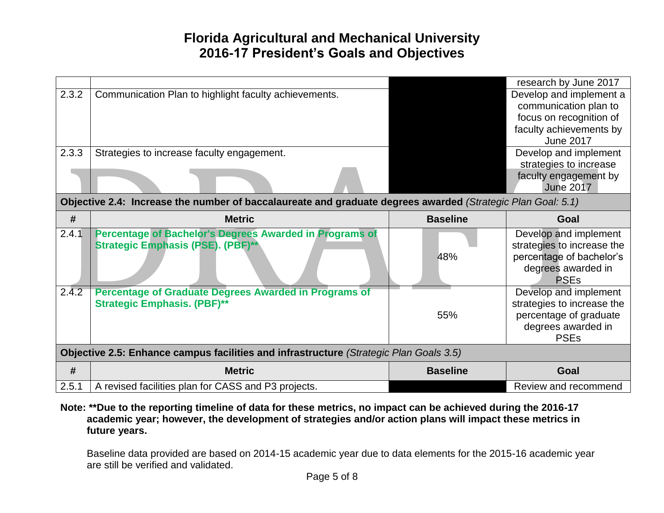|       |                                                                                                             |                 | research by June 2017      |
|-------|-------------------------------------------------------------------------------------------------------------|-----------------|----------------------------|
| 2.3.2 | Communication Plan to highlight faculty achievements.                                                       |                 | Develop and implement a    |
|       |                                                                                                             |                 | communication plan to      |
|       |                                                                                                             |                 | focus on recognition of    |
|       |                                                                                                             |                 | faculty achievements by    |
|       |                                                                                                             |                 | <b>June 2017</b>           |
| 2.3.3 | Strategies to increase faculty engagement.                                                                  |                 | Develop and implement      |
|       |                                                                                                             |                 | strategies to increase     |
|       |                                                                                                             |                 | faculty engagement by      |
|       |                                                                                                             |                 | <b>June 2017</b>           |
|       | Objective 2.4: Increase the number of baccalaureate and graduate degrees awarded (Strategic Plan Goal: 5.1) |                 |                            |
| #     | <b>Metric</b>                                                                                               | <b>Baseline</b> | Goal                       |
| 2.4.1 | Percentage of Bachelor's Degrees Awarded in Programs of                                                     |                 | Develop and implement      |
|       | Strategic Emphasis (PSE). (PBF)**                                                                           |                 | strategies to increase the |
|       |                                                                                                             | 48%             | percentage of bachelor's   |
|       |                                                                                                             |                 | degrees awarded in         |
|       |                                                                                                             |                 | <b>PSEs</b>                |
| 2.4.2 | <b>Percentage of Graduate Degrees Awarded in Programs of</b>                                                |                 | Develop and implement      |
|       | <b>Strategic Emphasis. (PBF)**</b>                                                                          |                 | strategies to increase the |
|       |                                                                                                             | 55%             | percentage of graduate     |
|       |                                                                                                             |                 | degrees awarded in         |
|       |                                                                                                             |                 | <b>PSEs</b>                |
|       | Objective 2.5: Enhance campus facilities and infrastructure (Strategic Plan Goals 3.5)                      |                 |                            |
| #     |                                                                                                             |                 |                            |
|       | <b>Metric</b>                                                                                               | <b>Baseline</b> | Goal                       |

**Note: \*\*Due to the reporting timeline of data for these metrics, no impact can be achieved during the 2016-17 academic year; however, the development of strategies and/or action plans will impact these metrics in future years.**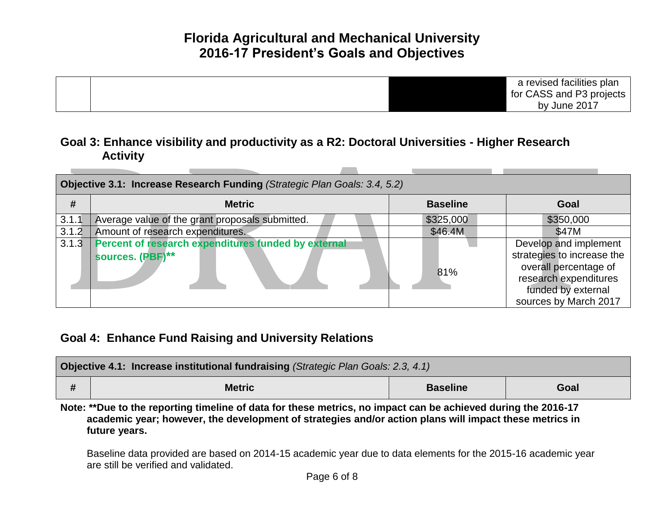

#### **Goal 3: Enhance visibility and productivity as a R2: Doctoral Universities - Higher Research Activity**

| Objective 3.1: Increase Research Funding (Strategic Plan Goals: 3.4, 5.2) |                                                                         |                 |                                                                                                                                                      |  |  |
|---------------------------------------------------------------------------|-------------------------------------------------------------------------|-----------------|------------------------------------------------------------------------------------------------------------------------------------------------------|--|--|
| #                                                                         | <b>Metric</b>                                                           | <b>Baseline</b> | Goal                                                                                                                                                 |  |  |
| 3.1.1                                                                     | Average value of the grant proposals submitted.                         | \$325,000       | \$350,000                                                                                                                                            |  |  |
| 3.1.2                                                                     | Amount of research expenditures.                                        | \$46.4M         | \$47M                                                                                                                                                |  |  |
| 3.1.3                                                                     | Percent of research expenditures funded by external<br>sources. (PBF)** | 81%             | Develop and implement<br>strategies to increase the<br>overall percentage of<br>research expenditures<br>funded by external<br>sources by March 2017 |  |  |

#### **Goal 4: Enhance Fund Raising and University Relations**

| <b>Objective 4.1: Increase institutional fundraising (Strategic Plan Goals: 2.3, 4.1)</b> |               |                 |      |  |
|-------------------------------------------------------------------------------------------|---------------|-----------------|------|--|
|                                                                                           | <b>Metric</b> | <b>Baseline</b> | Goal |  |

**Note: \*\*Due to the reporting timeline of data for these metrics, no impact can be achieved during the 2016-17 academic year; however, the development of strategies and/or action plans will impact these metrics in future years.**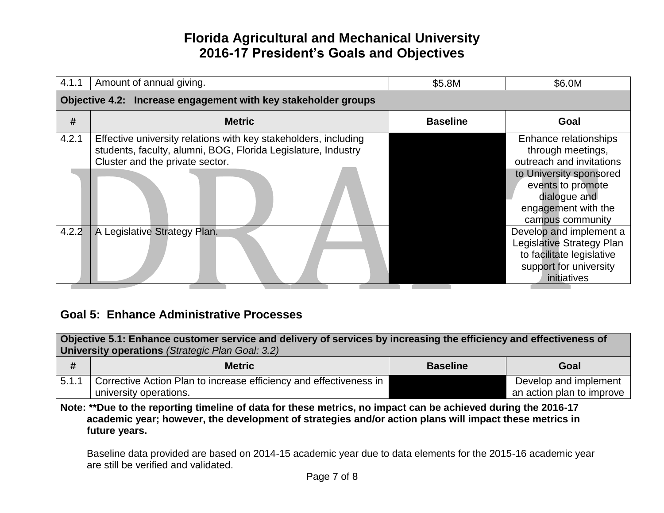| 4.1.1 | Amount of annual giving.                                                                                                                                            | \$5.8M          | \$6.0M                                                                                                                     |
|-------|---------------------------------------------------------------------------------------------------------------------------------------------------------------------|-----------------|----------------------------------------------------------------------------------------------------------------------------|
|       | Objective 4.2: Increase engagement with key stakeholder groups                                                                                                      |                 |                                                                                                                            |
| #     | <b>Metric</b>                                                                                                                                                       | <b>Baseline</b> | Goal                                                                                                                       |
| 4.2.1 | Effective university relations with key stakeholders, including<br>students, faculty, alumni, BOG, Florida Legislature, Industry<br>Cluster and the private sector. |                 | Enhance relationships<br>through meetings,<br>outreach and invitations                                                     |
|       |                                                                                                                                                                     |                 | to University sponsored<br>events to promote<br>dialogue and<br>engagement with the<br>campus community                    |
| 4.2.2 | A Legislative Strategy Plan.                                                                                                                                        |                 | Develop and implement a<br>Legislative Strategy Plan<br>to facilitate legislative<br>support for university<br>initiatives |

#### **Goal 5: Enhance Administrative Processes**

| Objective 5.1: Enhance customer service and delivery of services by increasing the efficiency and effectiveness of<br>University operations (Strategic Plan Goal: 3.2) |                                                                                              |                 |                                                    |
|------------------------------------------------------------------------------------------------------------------------------------------------------------------------|----------------------------------------------------------------------------------------------|-----------------|----------------------------------------------------|
| #                                                                                                                                                                      | <b>Metric</b>                                                                                | <b>Baseline</b> | Goal                                               |
| 1,5.1.1                                                                                                                                                                | Corrective Action Plan to increase efficiency and effectiveness in<br>university operations. |                 | Develop and implement<br>an action plan to improve |

**Note: \*\*Due to the reporting timeline of data for these metrics, no impact can be achieved during the 2016-17 academic year; however, the development of strategies and/or action plans will impact these metrics in future years.**